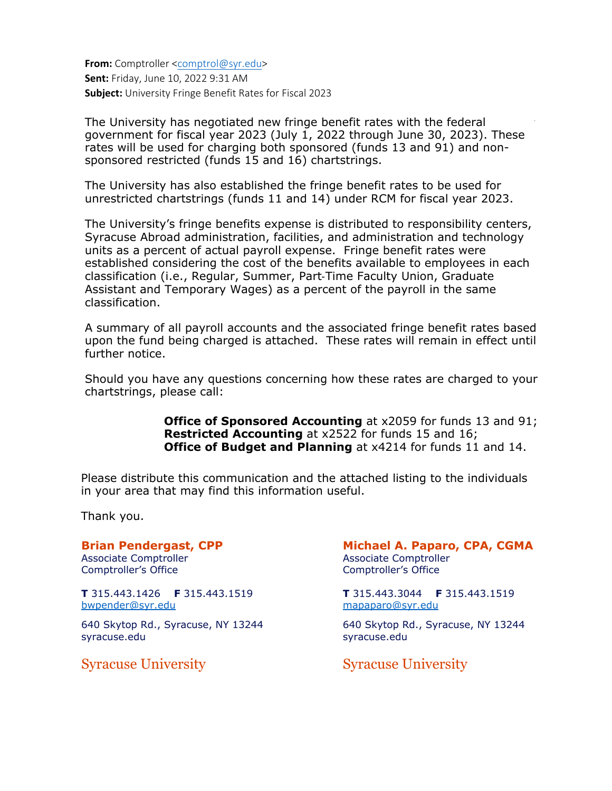**From:** Comptroller [<comptrol@syr.edu](mailto:comptrol@syr.edu)> **Sent:** Friday, June 10, 2022 9:31 AM **Subject:** University Fringe Benefit Rates for Fiscal 2023

The University has negotiated new fringe benefit rates with the federal government for fiscal year 2023 (July 1, 2022 through June 30, 2023). These rates will be used for charging both sponsored (funds 13 and 91) and nonsponsored restricted (funds 15 and 16) chartstrings.

The University has also established the fringe benefit rates to be used for unrestricted chartstrings (funds 11 and 14) under RCM for fiscal year 2023.

The University's fringe benefits expense is distributed to responsibility centers, Syracuse Abroad administration, facilities, and administration and technology units as a percent of actual payroll expense. Fringe benefit rates were established considering the cost of the benefits available to employees in each classification (i.e., Regular, Summer, Part‐Time Faculty Union, Graduate Assistant and Temporary Wages) as a percent of the payroll in the same classification.

A summary of all payroll accounts and the associated fringe benefit rates based upon the fund being charged is attached. These rates will remain in effect until further notice.

Should you have any questions concerning how these rates are charged to your chartstrings, please call:

> **Office of Sponsored Accounting** at x2059 for funds 13 and 91;  **Restricted Accounting** at x2522 for funds 15 and 16; **Office of Budget and Planning** at x4214 for funds 11 and 14.

Please distribute this communication and the attached listing to the individuals in your area that may find this information useful.

Thank you.

**Brian Pendergast, CPP** Associate Comptroller

Comptroller's Office

**T** 315.443.1426 **F** 315.443.1519 bwpender@syr.edu

640 Skytop Rd., Syracuse, NY 13244 syracuse.edu

[Syracuse Univer](mailto:bwpender@syr.edu)sity Syracuse University

## **Michael A. Paparo, CPA, CGMA** Associate Comptroller Comptroller's Office

**T** 315.443.3044 **F** 315.443.1519 [mapaparo@syr.edu](mailto:mapaparo@syr.edu)

640 Skytop Rd., Syracuse, NY 13244 syracuse.edu